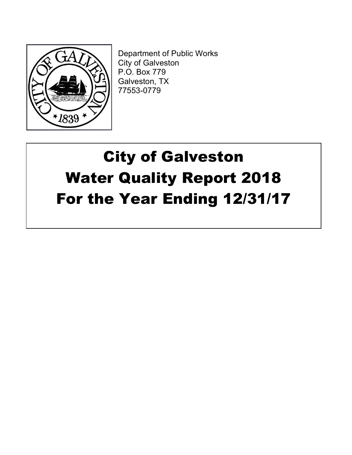

Department of Public Works City of Galveston P.O. Box 779 Galveston, TX 77553-0779

# City of Galveston Water Quality Report 2018 For the Year Ending 12/31/17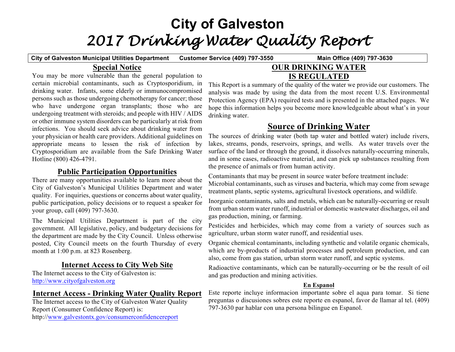# **City of Galveston** *2017 Drinking Water Quality Report*

**City of Galveston Municipal Utilities Department Customer Service (409) 797-3550 Main Office (409) 797-3630**

## **Special Notice**

You may be more vulnerable than the general population to certain microbial contaminants, such as Cryptosporidium, in drinking water. Infants, some elderly or immunocompromised persons such as those undergoing chemotherapy for cancer; those who have undergone organ transplants; those who are undergoing treatment with steroids; and people with HIV / AIDS or other immune system disorders can be particularly at risk from infections. You should seek advice about drinking water from your physician or health care providers. Additional guidelines on appropriate means to lessen the risk of infection by Cryptosporidium are available from the Safe Drinking Water Hotline (800) 426-4791.

## **Public Participation Opportunities**

There are many opportunities available to learn more about the City of Galveston's Municipal Utilities Department and water quality. For inquiries, questions or concerns about water quality, public participation, policy decisions or to request a speaker for your group, call (409) 797-3630.

The Municipal Utilities Department is part of the city government. All legislative, policy, and budgetary decisions for the department are made by the City Council. Unless otherwise posted, City Council meets on the fourth Thursday of every month at 1:00 p.m. at 823 Rosenberg.

## **Internet Access to City Web Site**

The Internet access to the City of Galveston is: http://www.cityofgalveston.org

## **Internet Access - Drinking Water Quality Report**

The Internet access to the City of Galveston Water Quality Report (Consumer Confidence Report) is: http://www.galvestontx.gov/consumerconfidencereport

## **OUR DRINKING WATER IS REGULATED**

This Report is a summary of the quality of the water we provide our customers. The analysis was made by using the data from the most recent U.S. Environmental Protection Agency (EPA) required tests and is presented in the attached pages. We hope this information helps you become more knowledgeable about what's in your drinking water.

## **Source of Drinking Water**

The sources of drinking water (both tap water and bottled water) include rivers, lakes, streams, ponds, reservoirs, springs, and wells. As water travels over the surface of the land or through the ground, it dissolves naturally-occurring minerals, and in some cases, radioactive material, and can pick up substances resulting from the presence of animals or from human activity.

Contaminants that may be present in source water before treatment include: Microbial contaminants, such as viruses and bacteria, which may come from sewage treatment plants, septic systems, agricultural livestock operations, and wildlife.

Inorganic contaminants, salts and metals, which can be naturally-occurring or result from urban storm water runoff, industrial or domestic wastewater discharges, oil and gas production, mining, or farming.

Pesticides and herbicides, which may come from a variety of sources such as agriculture, urban storm water runoff, and residential uses.

Organic chemical contaminants, including synthetic and volatile organic chemicals, which are by-products of industrial processes and petroleum production, and can also, come from gas station, urban storm water runoff, and septic systems.

Radioactive contaminants, which can be naturally-occurring or be the result of oil and gas production and mining activities.

## **En Espanol**

Este reporte incluye informacion importante sobre el aqua para tomar. Si tiene preguntas o discusiones sobres este reporte en espanol, favor de llamar al tel. (409) 797-3630 par hablar con una persona bilingue en Espanol.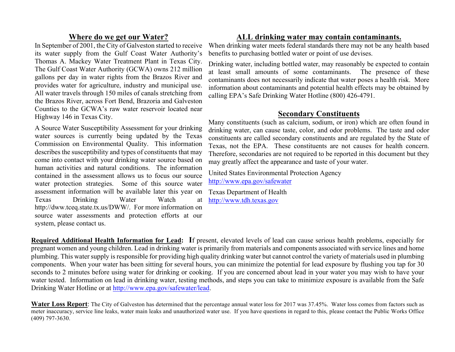## **Where do we get our Water?**

In September of 2001, the City of Galveston started to receive its water supply from the Gulf Coast Water Authority's Thomas A. Mackey Water Treatment Plant in Texas City. The Gulf Coast Water Authority (GCWA) owns 212 million gallons per day in water rights from the Brazos River and provides water for agriculture, industry and municipal use. All water travels through 150 miles of canals stretching from the Brazos River, across Fort Bend, Brazoria and Galveston Counties to the GCWA's raw water reservoir located near Highway 146 in Texas City.

A Source Water Susceptibility Assessment for your drinking water sources is currently being updated by the Texas Commission on Environmental Quality. This information describes the susceptibility and types of constituents that may come into contact with your drinking water source based on human activities and natural conditions. The information contained in the assessment allows us to focus our source water protection strategies. Some of this source water assessment information will be available later this year on Texas Drinking Water Watch at http://dww.tceq.state.tx.us/DWW/. For more information on source water assessments and protection efforts at our system, please contact us.

## **ALL drinking water may contain contaminants.**

When drinking water meets federal standards there may not be any health based benefits to purchasing bottled water or point of use devises.

Drinking water, including bottled water, may reasonably be expected to contain at least small amounts of some contaminants. The presence of these contaminants does not necessarily indicate that water poses a health risk. More information about contaminants and potential health effects may be obtained by calling EPA's Safe Drinking Water Hotline (800) 426-4791.

## **Secondary Constituents**

Many constituents (such as calcium, sodium, or iron) which are often found in drinking water, can cause taste, color, and odor problems. The taste and odor constituents are called secondary constituents and are regulated by the State of Texas, not the EPA. These constituents are not causes for health concern. Therefore, secondaries are not required to be reported in this document but they may greatly affect the appearance and taste of your water.

United States Environmental Protection Agency http://www.epa.gov/safewater

Texas Department of Health http://www.tdh.texas.gov

**Required Additional Health Information for Lead: I**f present, elevated levels of lead can cause serious health problems, especially for pregnant women and young children. Lead in drinking water is primarily from materials and components associated with service lines and home plumbing. This water supply is responsible for providing high quality drinking water but cannot control the variety of materials used in plumbing components. When your water has been sitting for several hours, you can minimize the potential for lead exposure by flushing you tap for 30 seconds to 2 minutes before using water for drinking or cooking. If you are concerned about lead in your water you may wish to have your water tested. Information on lead in drinking water, testing methods, and steps you can take to minimize exposure is available from the Safe Drinking Water Hotline or at http://www.epa.gov/safewater/lead.

**Water Loss Report**: The City of Galveston has determined that the percentage annual water loss for 2017 was 37.45%. Water loss comes from factors such as meter inaccuracy, service line leaks, water main leaks and unauthorized water use. If you have questions in regard to this, please contact the Public Works Office (409) 797-3630.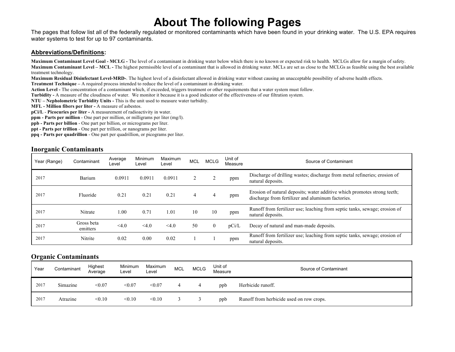## **About The following Pages**

The pages that follow list all of the federally regulated or monitored contaminants which have been found in your drinking water. The U.S. EPA requires water systems to test for up to 97 contaminants.

#### **Abbreviations/Definitions:**

**Maximum Contaminant Level Goal - MCLG -** The level of a contaminant in drinking water below which there is no known or expected risk to health. MCLGs allow for a margin of safety. **Maximum Contaminant Level – MCL -** The highest permissible level of a contaminant that is allowed in drinking water. MCLs are set as close to the MCLGs as feasible using the best available treatment technology.

**Maximum Residual Disinfectant Level-MRD-**. The highest level of a disinfectant allowed in drinking water without causing an unacceptable possibility of adverse health effects.

**Treatment Technique –** A required process intended to reduce the level of a contaminant in drinking water.

**Action Level -** The concentration of a contaminant which, if exceeded, triggers treatment or other requirements that a water system must follow.

**Turbidity -** A measure of the cloudiness of water. We monitor it because it is a good indicator of the effectiveness of our filtration system.

**NTU – Nepholometric Turbidity Units -** This is the unit used to measure water turbidity.

**MFL - Million fibers per liter -** A measure of asbestos.

**pCi/L** - **Picocuries per liter -** A measurement of radioactivity in water.

**ppm - Parts per million** - One part per million, or milligrams per liter (mg/l).

**ppb - Parts per billion** - One part per billion, or micrograms per liter.

**ppt - Parts per trillion** - One part per trillion, or nanograms per liter.

**ppq - Parts per quadrillion** - One part per quadrillion, or picograms per liter.

#### **Inorganic Contaminants**

| Year (Range) | Contaminant            | Average<br>Level | Minimum<br>Level | Maximum<br>Level | <b>MCL</b> | <b>MCLG</b>    | Unit of<br>Measure | Source of Contaminant                                                                                                         |
|--------------|------------------------|------------------|------------------|------------------|------------|----------------|--------------------|-------------------------------------------------------------------------------------------------------------------------------|
| 2017         | Barium                 | 0.0911           | 0.0911           | 0.0911           |            |                | ppm                | Discharge of drilling wastes; discharge from metal refineries; erosion of<br>natural deposits.                                |
| 2017         | Fluoride               | 0.21             | 0.21             | 0.21             | 4          |                | ppm                | Erosion of natural deposits; water additive which promotes strong teeth;<br>discharge from fertilizer and aluminum factories. |
| 2017         | Nitrate                | 0.00             | 0.71             | 1.01             | 10         | 10             | ppm                | Runoff from fertilizer use; leaching from septic tanks, sewage; erosion of<br>natural deposits.                               |
| 2017         | Gross beta<br>emitters | < 4.0            | $<$ 4.0          | < 4.0            | 50         | $\overline{0}$ | pCi/L              | Decay of natural and man-made deposits.                                                                                       |
| 2017         | Nitrite                | 0.02             | 0.00             | 0.02             |            |                | ppm                | Runoff from fertilizer use; leaching from septic tanks, sewage; erosion of<br>natural deposits.                               |

#### **Organic Contaminants**

| Year | Contaminant | Highest<br>Average | Minimum<br>Level | Maximum<br>Level | <b>MCL</b> | <b>MCLG</b> | Unit of<br>Measure | Source of Contaminant                    |
|------|-------------|--------------------|------------------|------------------|------------|-------------|--------------------|------------------------------------------|
| 2017 | Simazine    | < 0.07             | < 0.07           | < 0.07           |            |             | ppb                | Herbicide runoff.                        |
| 2017 | Atrazine    | < 0.10             | < 0.10           | < 0.10           |            |             | ppb                | Runoff from herbicide used on row crops. |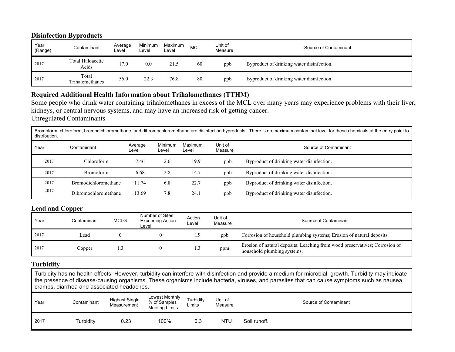#### **Disinfection Byproducts**

| Year<br>(Range) | Contaminant               | Average<br>Level | Minimum<br>Level | Maximum<br>Level | <b>MCL</b> | Jnit of<br>Measure | Source of Contaminant                     |
|-----------------|---------------------------|------------------|------------------|------------------|------------|--------------------|-------------------------------------------|
| 2017            | Total Haloacetic<br>Acids | 17.0             | 0.0              | 21.5             | 60         | ppb                | Byproduct of drinking water disinfection. |
| 2017            | Total<br>Trihalomethanes  | 56.0             | 22.3             | 76.8             | 80         | ppb                | Byproduct of drinking water disinfection. |

## **Required Additional Health Information about Trihalomethanes (TTHM)**

Some people who drink water containing trihalomethanes in excess of the MCL over many years may experience problems with their liver, kidneys, or central nervous systems, and may have an increased risk of getting cancer. Unregulated Contaminants

Bromoform, chloroform, bromodichloromethane, and dibromochloromethane are disinfection byproducts. There is no maximum contaminat level for these chemicals at the entry point to distribution.

| Year | Contaminant                 | Average<br>Level | Minimum<br>∟evel | Maximum<br>Level | Unit of<br>Measure | Source of Contaminant                     |
|------|-----------------------------|------------------|------------------|------------------|--------------------|-------------------------------------------|
| 2017 | Chloroform-                 | 7.46             | 2.6              | 19.9             | ppb                | Byproduct of drinking water disinfection. |
| 2017 | Bromoform                   | 6.68             | 2.8              | 14.7             | ppb                | Byproduct of drinking water disinfection. |
| 2017 | <b>Bromodichloromethane</b> | 11.74            | 6.8              | 22.7             | ppb                | Byproduct of drinking water disinfection. |
| 2017 | Dibromochloromethane        | 13.69            | 7.8              | 24.1             | ppb                | Byproduct of drinking water disinfection. |

#### **Lead and Copper**

| Year | Contaminant | MCLG | Number of Sites<br><b>Exceeding Action</b><br>Level | Action<br>Level | Unit of<br>Measure | Source of Contaminant                                                                                      |
|------|-------------|------|-----------------------------------------------------|-----------------|--------------------|------------------------------------------------------------------------------------------------------------|
| 2017 | Lead        |      |                                                     |                 | ppb                | Corrosion of household plumbing systems; Erosion of natural deposits.                                      |
| 2017 | Copper      |      |                                                     |                 | ppm                | Erosion of natural deposits: Leaching from wood preservatives; Corrosion of<br>household plumbing systems. |

#### **Turbidity**

Turbidity has no health effects. However, turbidity can interfere with disinfection and provide a medium for microbial growth. Turbidity may indicate the presence of disease-causing organisms. These organisms include bacteria, viruses, and parasites that can cause symptoms such as nausea, cramps, diarrhea and associated headaches.

| Year | Contaminant | <b>Highest Single</b><br>Measurement | Lowest Monthly<br>% of Samples<br><b>Meeting Limits</b> | Turbidity<br>Limits | Unit of<br>Measure |              | Source of Contaminant |
|------|-------------|--------------------------------------|---------------------------------------------------------|---------------------|--------------------|--------------|-----------------------|
| 2017 | Turbidity   | 0.23                                 | 100%                                                    | 0.3                 | <b>NTU</b>         | Soil runoff. |                       |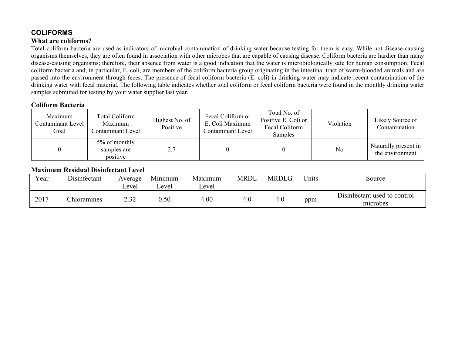## **COLIFORMS What are coliforms?**

Total coliform bacteria are used as indicators of microbial contamination of drinking water because testing for them is easy. While not disease-causing organisms themselves, they are often found in association with other microbes that are capable of causing disease. Coliform bacteria are hardier than many disease-causing organisms; therefore, their absence from water is a good indication that the water is microbiologically safe for human consumption. Fecal coliform bacteria and, in particular, E. coli, are members of the coliform bacteria group originating in the intestinal tract of warm-blooded animals and are passed into the environment through feces. The presence of fecal coliform bacteria (E. coli) in drinking water may indicate recent contamination of the drinking water with fecal material. The following table indicates whether total coliform or fecal coliform bacteria were found in the monthly drinking water samples submitted for testing by your water supplier last year.

#### **Coliform Bacteria**

| Maximum<br>Contaminant Level<br>Goal | Total Coliform<br>Maximum<br>Contaminant Level | Highest No. of<br>Positive | Fecal Coliform or<br>E. Coli Maximum<br>Contaminant Level | Total No. of<br>Positive E. Coli or<br>Fecal Coliform<br>Samples | Violation | Likely Source of<br>Contamination       |
|--------------------------------------|------------------------------------------------|----------------------------|-----------------------------------------------------------|------------------------------------------------------------------|-----------|-----------------------------------------|
|                                      | 5% of monthly<br>samples are<br>positive       | 2.7                        |                                                           |                                                                  | No        | Naturally present in<br>the environment |

## **Maximum Residual Disinfectant Level**

| Year | Disinfectant       | Average<br>∟evel | Minimum<br>∟evel | Maximum<br>Level | MRDL | <b>MRDLG</b> | Units | Source                                   |
|------|--------------------|------------------|------------------|------------------|------|--------------|-------|------------------------------------------|
| 2017 | <b>Chloramines</b> | າາາ              | 0.50             | 4.00             | 4.0  | 4.0          | ppm   | Disinfectant used to control<br>microbes |